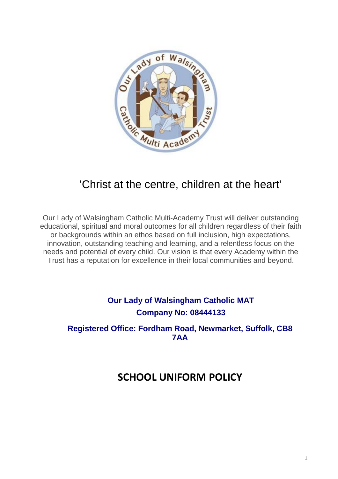

# 'Christ at the centre, children at the heart'

Our Lady of Walsingham Catholic Multi-Academy Trust will deliver outstanding educational, spiritual and moral outcomes for all children regardless of their faith or backgrounds within an ethos based on full inclusion, high expectations, innovation, outstanding teaching and learning, and a relentless focus on the needs and potential of every child. Our vision is that every Academy within the Trust has a reputation for excellence in their local communities and beyond.

# **Our Lady of Walsingham Catholic MAT Company No: 08444133**

## **Registered Office: Fordham Road, Newmarket, Suffolk, CB8 7AA**

# **SCHOOL UNIFORM POLICY**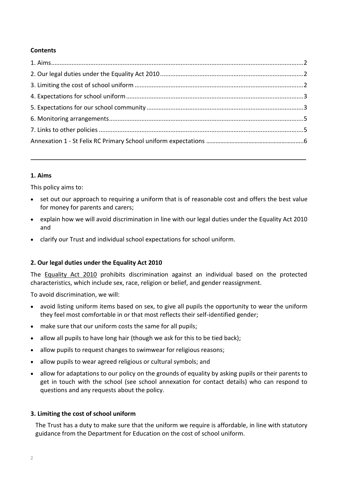### **Contents**

### <span id="page-1-0"></span>**1. Aims**

This policy aims to:

- set out our approach to requiring a uniform that is of reasonable cost and offers the best value for money for parents and carers;
- explain how we will avoid discrimination in line with our legal duties under the Equality Act 2010 and
- clarify our Trust and individual school expectations for school uniform.

### <span id="page-1-1"></span>**2. Our legal duties under the Equality Act 2010**

The [Equality Act 2010](https://www.legislation.gov.uk/ukpga/2010/15/contents) prohibits discrimination against an individual based on the protected characteristics, which include sex, race, religion or belief, and gender reassignment.

To avoid discrimination, we will:

- avoid listing uniform items based on sex, to give all pupils the opportunity to wear the uniform they feel most comfortable in or that most reflects their self-identified gender;
- make sure that our uniform costs the same for all pupils;
- allow all pupils to have long hair (though we ask for this to be tied back);
- allow pupils to request changes to swimwear for religious reasons;
- allow pupils to wear agreed religious or cultural symbols; and
- allow for adaptations to our policy on the grounds of equality by asking pupils or their parents to get in touch with the school (see school annexation for contact details) who can respond to questions and any requests about the policy.

### <span id="page-1-2"></span>**3. Limiting the cost of school uniform**

The Trust has a duty to make sure that the uniform we require is affordable, in line with statutory guidance from the Department for Education on the cost of school uniform.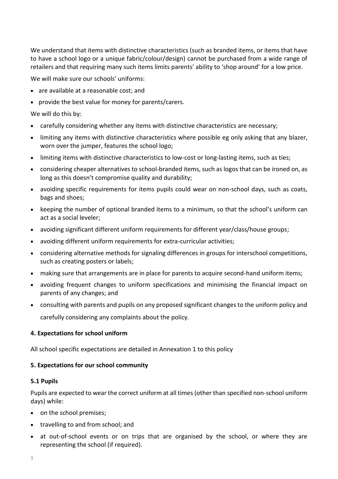We understand that items with distinctive characteristics (such as branded items, or items that have to have a school logo or a unique fabric/colour/design) cannot be purchased from a wide range of retailers and that requiring many such items limits parents' ability to 'shop around' for a low price.

We will make sure our schools' uniforms:

- are available at a reasonable cost; and
- provide the best value for money for parents/carers.

We will do this by:

- carefully considering whether any items with distinctive characteristics are necessary;
- limiting any items with distinctive characteristics where possible eg only asking that any blazer, worn over the jumper, features the school logo;
- limiting items with distinctive characteristics to low-cost or long-lasting items, such as ties;
- considering cheaper alternatives to school-branded items, such as logos that can be ironed on, as long as this doesn't compromise quality and durability;
- avoiding specific requirements for items pupils could wear on non-school days, such as coats, bags and shoes;
- keeping the number of optional branded items to a minimum, so that the school's uniform can act as a social leveler;
- avoiding significant different uniform requirements for different year/class/house groups;
- avoiding different uniform requirements for extra-curricular activities;
- considering alternative methods for signaling differences in groups for interschool competitions, such as creating posters or labels;
- making sure that arrangements are in place for parents to acquire second-hand uniform items;
- avoiding frequent changes to uniform specifications and minimising the financial impact on parents of any changes; and
- consulting with parents and pupils on any proposed significant changes to the uniform policy and

carefully considering any complaints about the policy.

#### <span id="page-2-0"></span>**4. Expectations for school uniform**

All school specific expectations are detailed in Annexation 1 to this policy

#### <span id="page-2-1"></span>**5. Expectations for our school community**

#### **5.1 Pupils**

Pupils are expected to wear the correct uniform at all times (other than specified non-school uniform days) while:

- on the school premises;
- travelling to and from school; and
- at out-of-school events or on trips that are organised by the school, or where they are representing the school (if required).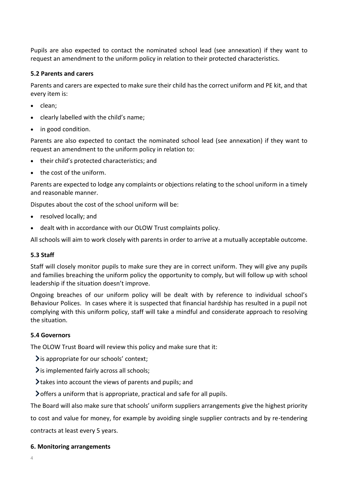Pupils are also expected to contact the nominated school lead (see annexation) if they want to request an amendment to the uniform policy in relation to their protected characteristics.

#### **5.2 Parents and carers**

Parents and carers are expected to make sure their child has the correct uniform and PE kit, and that every item is:

- clean;
- clearly labelled with the child's name;
- in good condition.

Parents are also expected to contact the nominated school lead (see annexation) if they want to request an amendment to the uniform policy in relation to:

- their child's protected characteristics; and
- the cost of the uniform.

Parents are expected to lodge any complaints or objections relating to the school uniform in a timely and reasonable manner.

Disputes about the cost of the school uniform will be:

- resolved locally; and
- dealt with in accordance with our OLOW Trust complaints policy.

All schools will aim to work closely with parents in order to arrive at a mutually acceptable outcome.

#### **5.3 Staff**

Staff will closely monitor pupils to make sure they are in correct uniform. They will give any pupils and families breaching the uniform policy the opportunity to comply, but will follow up with school leadership if the situation doesn't improve.

Ongoing breaches of our uniform policy will be dealt with by reference to individual school's Behaviour Polices. In cases where it is suspected that financial hardship has resulted in a pupil not complying with this uniform policy, staff will take a mindful and considerate approach to resolving the situation.

#### **5.4 Governors**

The OLOW Trust Board will review this policy and make sure that it:

- $\sum$  is appropriate for our schools' context;
- $\sum$  is implemented fairly across all schools;
- $\blacktriangleright$  takes into account the views of parents and pupils; and
- offers a uniform that is appropriate, practical and safe for all pupils.

The Board will also make sure that schools' uniform suppliers arrangements give the highest priority

to cost and value for money, for example by avoiding single supplier contracts and by re-tendering contracts at least every 5 years.

#### <span id="page-3-0"></span>**6. Monitoring arrangements**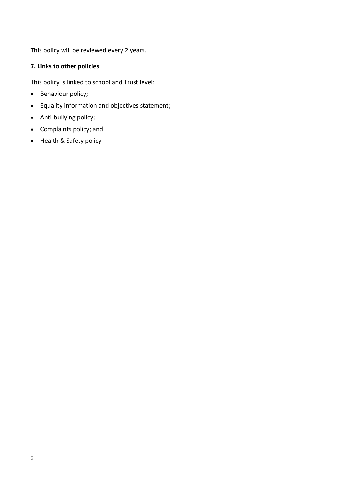This policy will be reviewed every 2 years.

## <span id="page-4-0"></span>**7. Links to other policies**

This policy is linked to school and Trust level:

- Behaviour policy;
- Equality information and objectives statement;
- Anti-bullying policy;
- Complaints policy; and
- Health & Safety policy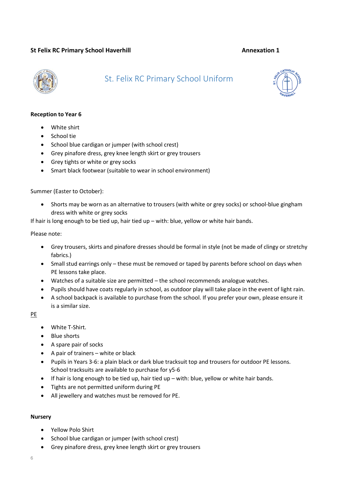#### **St Felix RC Primary School Haverhill <b>Annexation 1 Annexation 1**



## St. Felix RC Primary School Uniform



#### **Reception to Year 6**

- White shirt
- School tie
- School blue cardigan or jumper (with school crest)
- Grey pinafore dress, grey knee length skirt or grey trousers
- Grey tights or white or grey socks
- Smart black footwear (suitable to wear in school environment)

#### Summer (Easter to October):

• Shorts may be worn as an alternative to trousers (with white or grey socks) or school-blue gingham dress with white or grey socks

If hair is long enough to be tied up, hair tied up – with: blue, yellow or white hair bands.

#### Please note:

- Grey trousers, skirts and pinafore dresses should be formal in style (not be made of clingy or stretchy fabrics.)
- Small stud earrings only these must be removed or taped by parents before school on days when PE lessons take place.
- Watches of a suitable size are permitted the school recommends analogue watches.
- Pupils should have coats regularly in school, as outdoor play will take place in the event of light rain.
- A school backpack is available to purchase from the school. If you prefer your own, please ensure it is a similar size.

PE

- White T-Shirt.
- Blue shorts
- A spare pair of socks
- A pair of trainers white or black
- Pupils in Years 3-6: a plain black or dark blue tracksuit top and trousers for outdoor PE lessons. School tracksuits are available to purchase for y5-6
- If hair is long enough to be tied up, hair tied up with: blue, yellow or white hair bands.
- Tights are not permitted uniform during PE
- All jewellery and watches must be removed for PE.

#### **Nursery**

- Yellow Polo Shirt
- School blue cardigan or jumper (with school crest)
- Grey pinafore dress, grey knee length skirt or grey trousers